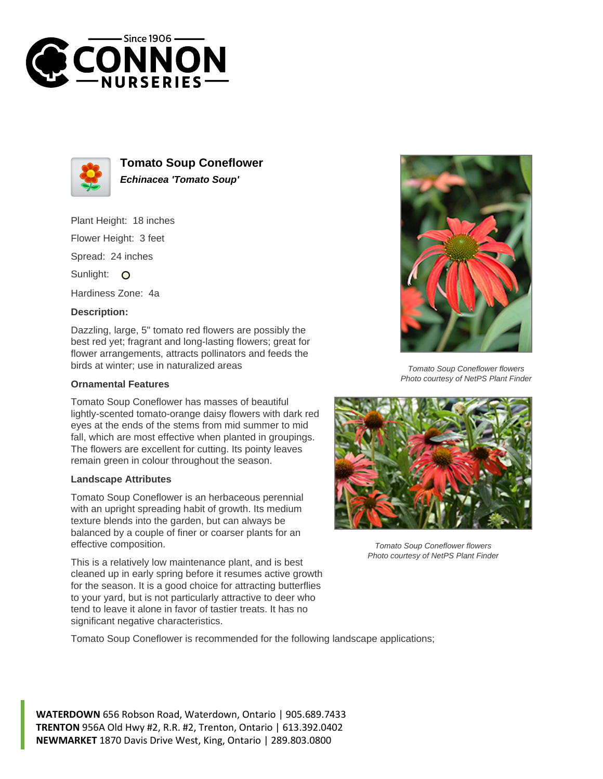



**Tomato Soup Coneflower Echinacea 'Tomato Soup'**

Plant Height: 18 inches Flower Height: 3 feet Spread: 24 inches Sunlight: O

Hardiness Zone: 4a

## **Description:**

Dazzling, large, 5" tomato red flowers are possibly the best red yet; fragrant and long-lasting flowers; great for flower arrangements, attracts pollinators and feeds the birds at winter; use in naturalized areas

## **Ornamental Features**

Tomato Soup Coneflower has masses of beautiful lightly-scented tomato-orange daisy flowers with dark red eyes at the ends of the stems from mid summer to mid fall, which are most effective when planted in groupings. The flowers are excellent for cutting. Its pointy leaves remain green in colour throughout the season.

## **Landscape Attributes**

Tomato Soup Coneflower is an herbaceous perennial with an upright spreading habit of growth. Its medium texture blends into the garden, but can always be balanced by a couple of finer or coarser plants for an effective composition.

This is a relatively low maintenance plant, and is best cleaned up in early spring before it resumes active growth for the season. It is a good choice for attracting butterflies to your yard, but is not particularly attractive to deer who tend to leave it alone in favor of tastier treats. It has no significant negative characteristics.

Tomato Soup Coneflower is recommended for the following landscape applications;





Tomato Soup Coneflower flowers Photo courtesy of NetPS Plant Finder



Tomato Soup Coneflower flowers Photo courtesy of NetPS Plant Finder

**WATERDOWN** 656 Robson Road, Waterdown, Ontario | 905.689.7433 **TRENTON** 956A Old Hwy #2, R.R. #2, Trenton, Ontario | 613.392.0402 **NEWMARKET** 1870 Davis Drive West, King, Ontario | 289.803.0800